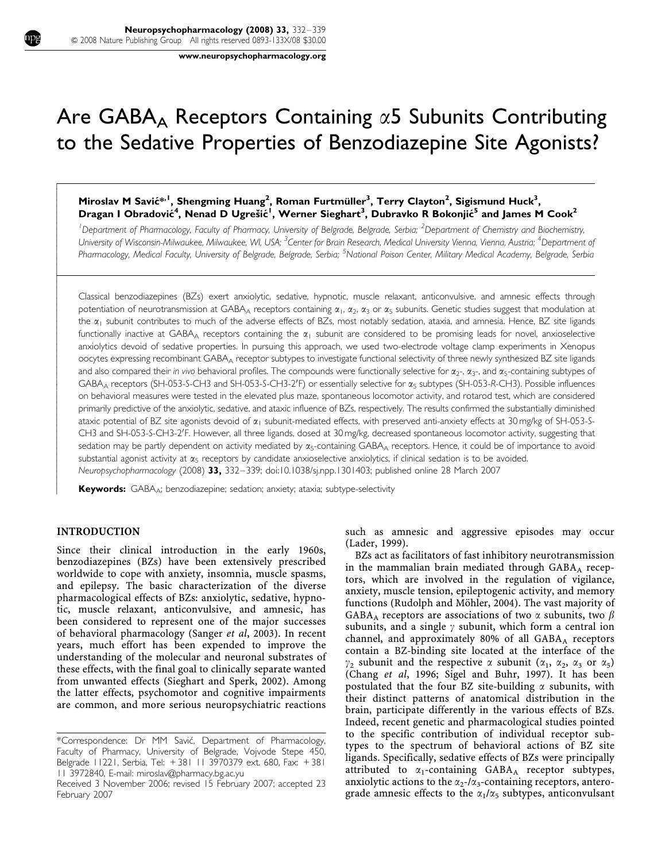www.neuropsychopharmacology.org

# Are GABA<sub>A</sub> Receptors Containing  $\alpha$ 5 Subunits Contributing to the Sedative Properties of Benzodiazepine Site Agonists?

# Miroslav M Savić\*<sup>, I</sup>, Shengming Huang<sup>2</sup>, Roman Furtmüller<sup>3</sup>, Terry Clayton<sup>2</sup>, Sigismund Huck<sup>3</sup>, Dragan I Obradović<sup>4</sup>, Nenad D Ugrešić<sup>1</sup>, Werner Sieghart<sup>3</sup>, Dubravko R Bokonjić<sup>5</sup> and James M Cook<sup>2</sup>

<sup>1</sup>Department of Pharmacology, Faculty of Pharmacy, University of Belgrade, Belgrade, Serbia; <sup>2</sup>Department of Chemistry and Biochemistry, University of Wisconsin-Milwaukee, Milwaukee, WI, USA; <sup>3</sup>Center for Brain Research, Medical University Vienna, Vienna, Austria; <sup>4</sup>Department of Pharmacology, Medical Faculty, University of Belgrade, Belgrade, Serbia; <sup>5</sup>National Poison Center, Military Medical Academy, Belgrade, Serbia

Classical benzodiazepines (BZs) exert anxiolytic, sedative, hypnotic, muscle relaxant, anticonvulsive, and amnesic effects through potentiation of neurotransmission at GABA<sub>A</sub> receptors containing  $\alpha_1$ ,  $\alpha_2$ ,  $\alpha_3$  or  $\alpha_5$  subunits. Genetic studies suggest that modulation at the  $\alpha_1$  subunit contributes to much of the adverse effects of BZs, most notably sedation, ataxia, and amnesia. Hence, BZ site ligands functionally inactive at GABA<sub>A</sub> receptors containing the  $\alpha_1$  subunit are considered to be promising leads for novel, anxioselective anxiolytics devoid of sedative properties. In pursuing this approach, we used two-electrode voltage clamp experiments in Xenopus oocytes expressing recombinant GABAA receptor subtypes to investigate functional selectivity of three newly synthesized BZ site ligands and also compared their in vivo behavioral profiles. The compounds were functionally selective for  $\alpha_2$ -,  $\alpha_3$ -, and  $\alpha_5$ -containing subtypes of  $GABA_A$  receptors (SH-053-S-CH3 and SH-053-S-CH3-2'F) or essentially selective for  $\alpha_5$  subtypes (SH-053-R-CH3). Possible influences on behavioral measures were tested in the elevated plus maze, spontaneous locomotor activity, and rotarod test, which are considered primarily predictive of the anxiolytic, sedative, and ataxic influence of BZs, respectively. The results confirmed the substantially diminished ataxic potential of BZ site agonists devoid of  $\alpha_1$  subunit-mediated effects, with preserved anti-anxiety effects at 30 mg/kg of SH-053-S-CH3 and SH-053-S-CH3-2'F. However, all three ligands, dosed at 30 mg/kg, decreased spontaneous locomotor activity, suggesting that sedation may be partly dependent on activity mediated by  $\alpha_5$ -containing GABA<sub>A</sub> receptors. Hence, it could be of importance to avoid substantial agonist activity at  $\alpha_5$  receptors by candidate anxioselective anxiolytics, if clinical sedation is to be avoided. Neuropsychopharmacology (2008) 33, 332–339; doi:10.1038/sj.npp.1301403; published online 28 March 2007

Keywords: GABA<sub>A</sub>; benzodiazepine; sedation; anxiety; ataxia; subtype-selectivity

## INTRODUCTION

 $\overline{1}$ ſ I  $\overline{\phantom{a}}$  $\overline{\phantom{a}}$  $\overline{\phantom{a}}$  $\overline{\phantom{a}}$  $\overline{\phantom{a}}$  $\overline{\phantom{a}}$  $\overline{\phantom{a}}$  $\overline{\phantom{a}}$  $\overline{\phantom{a}}$  $\overline{\phantom{a}}$  $\overline{\phantom{a}}$  $\overline{\phantom{a}}$  $\overline{\phantom{a}}$ ŀ  $\overline{\phantom{a}}$  $\overline{\phantom{a}}$  $\overline{\phantom{a}}$  $\overline{\phantom{a}}$  $\overline{\phantom{a}}$  $\overline{\phantom{a}}$  $\overline{\phantom{a}}$  $\overline{\phantom{a}}$  $\overline{\phantom{a}}$  $\overline{\phantom{a}}$  $\overline{\phantom{a}}$  $\overline{\phantom{a}}$  $\overline{\phantom{a}}$  $\overline{\phantom{a}}$  $\overline{\phantom{a}}$  $\overline{\phantom{a}}$  $\overline{\phantom{a}}$  $\overline{\phantom{a}}$  $\overline{\phantom{a}}$  $\overline{\phantom{a}}$  $\overline{\phantom{a}}$  $\overline{\phantom{a}}$  $\overline{\phantom{a}}$  $\overline{\phantom{a}}$  $\overline{\phantom{a}}$  $\overline{\phantom{a}}$  $\overline{\phantom{a}}$  $\overline{\phantom{a}}$  $\overline{\phantom{a}}$  $\overline{\phantom{a}}$  $\overline{\phantom{a}}$  $\overline{\phantom{a}}$  $\overline{\phantom{a}}$  $\overline{\phantom{a}}$  $\overline{\phantom{a}}$  $\overline{\phantom{a}}$  $\overline{\phantom{a}}$ 

Since their clinical introduction in the early 1960s, benzodiazepines (BZs) have been extensively prescribed worldwide to cope with anxiety, insomnia, muscle spasms, and epilepsy. The basic characterization of the diverse pharmacological effects of BZs: anxiolytic, sedative, hypnotic, muscle relaxant, anticonvulsive, and amnesic, has been considered to represent one of the major successes of behavioral pharmacology (Sanger et al, 2003). In recent years, much effort has been expended to improve the understanding of the molecular and neuronal substrates of these effects, with the final goal to clinically separate wanted from unwanted effects (Sieghart and Sperk, 2002). Among the latter effects, psychomotor and cognitive impairments are common, and more serious neuropsychiatric reactions such as amnesic and aggressive episodes may occur (Lader, 1999).

BZs act as facilitators of fast inhibitory neurotransmission in the mammalian brain mediated through  $GABA_A$  receptors, which are involved in the regulation of vigilance, anxiety, muscle tension, epileptogenic activity, and memory functions (Rudolph and Möhler, 2004). The vast majority of GABA<sub>A</sub> receptors are associations of two  $\alpha$  subunits, two  $\beta$ subunits, and a single  $\gamma$  subunit, which form a central ion channel, and approximately 80% of all  $GABA_A$  receptors contain a BZ-binding site located at the interface of the  $\gamma_2$  subunit and the respective  $\alpha$  subunit ( $\alpha_1$ ,  $\alpha_2$ ,  $\alpha_3$  or  $\alpha_5$ ) (Chang et al, 1996; Sigel and Buhr, 1997). It has been postulated that the four BZ site-building  $\alpha$  subunits, with their distinct patterns of anatomical distribution in the brain, participate differently in the various effects of BZs. Indeed, recent genetic and pharmacological studies pointed to the specific contribution of individual receptor subtypes to the spectrum of behavioral actions of BZ site ligands. Specifically, sedative effects of BZs were principally attributed to  $\alpha_1$ -containing GABA<sub>A</sub> receptor subtypes, anxiolytic actions to the  $\alpha_2$ -/ $\alpha_3$ -containing receptors, antero-Received 3 November 2006; revised 15 February 2007; accepted 23 **anxiolytic actions to the**  $\alpha_2$ **-/** $\alpha_3$ **-containing receptors, antero-**<br>**grade amnesic effects to the**  $\alpha_1/\alpha_5$  **subtypes, anticonvulsant** 

<sup>\*</sup>Correspondence: Dr MM Savic´, Department of Pharmacology, Faculty of Pharmacy, University of Belgrade, Vojvode Stepe 450, Belgrade 11221, Serbia, Tel: + 381 11 3970379 ext. 680, Fax: + 381 11 3972840, E-mail: miroslav@pharmacy.bg.ac.yu

February 2007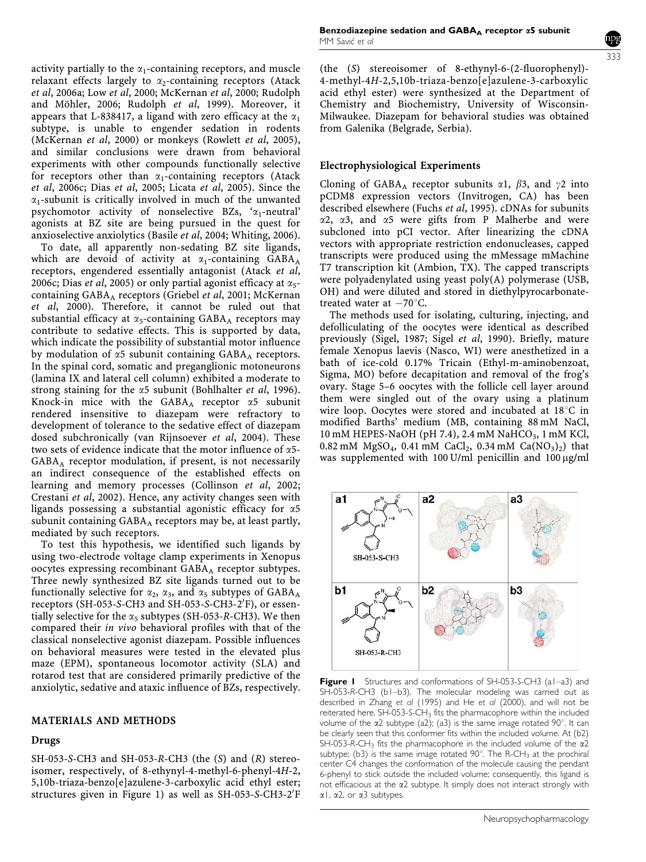activity partially to the  $\alpha_1$ -containing receptors, and muscle relaxant effects largely to  $\alpha_2$ -containing receptors (Atack et al, 2006a; Low et al, 2000; McKernan et al, 2000; Rudolph and Möhler, 2006; Rudolph et al, 1999). Moreover, it appears that L-838417, a ligand with zero efficacy at the  $\alpha_1$ subtype, is unable to engender sedation in rodents (McKernan et al, 2000) or monkeys (Rowlett et al, 2005), and similar conclusions were drawn from behavioral experiments with other compounds functionally selective for receptors other than  $\alpha_1$ -containing receptors (Atack et al, 2006c; Dias et al, 2005; Licata et al, 2005). Since the  $\alpha_1$ -subunit is critically involved in much of the unwanted psychomotor activity of nonselective BZs,  $\alpha_1$ -neutral' agonists at BZ site are being pursued in the quest for anxioselective anxiolytics (Basile et al, 2004; Whiting, 2006).

To date, all apparently non-sedating BZ site ligands, which are devoid of activity at  $\alpha_1$ -containing GABA<sub>A</sub> receptors, engendered essentially antagonist (Atack et al, 2006c; Dias et al, 2005) or only partial agonist efficacy at  $\alpha_5$ containing  $GABA_A$  receptors (Griebel et al, 2001; McKernan et al, 2000). Therefore, it cannot be ruled out that substantial efficacy at  $\alpha_5$ -containing GABA<sub>A</sub> receptors may contribute to sedative effects. This is supported by data, which indicate the possibility of substantial motor influence by modulation of  $\alpha$ 5 subunit containing GABA<sub>A</sub> receptors. In the spinal cord, somatic and preganglionic motoneurons (lamina IX and lateral cell column) exhibited a moderate to strong staining for the  $\alpha$ 5 subunit (Bohlhalter *et al*, 1996). Knock-in mice with the GABA<sub>A</sub> receptor  $\alpha$ 5 subunit rendered insensitive to diazepam were refractory to development of tolerance to the sedative effect of diazepam dosed subchronically (van Rijnsoever et al, 2004). These two sets of evidence indicate that the motor influence of  $\alpha$ 5- $GABA_A$  receptor modulation, if present, is not necessarily an indirect consequence of the established effects on learning and memory processes (Collinson et al, 2002; Crestani et al, 2002). Hence, any activity changes seen with ligands possessing a substantial agonistic efficacy for  $\alpha$ 5 subunit containing  $GABA_A$  receptors may be, at least partly, mediated by such receptors.

To test this hypothesis, we identified such ligands by using two-electrode voltage clamp experiments in Xenopus oocytes expressing recombinant GABA<sub>A</sub> receptor subtypes. Three newly synthesized BZ site ligands turned out to be functionally selective for  $\alpha_2$ ,  $\alpha_3$ , and  $\alpha_5$  subtypes of GABA<sub>A</sub> receptors (SH-053-S-CH3 and SH-053-S-CH3-2'F), or essentially selective for the  $\alpha_5$  subtypes (SH-053-R-CH3). We then compared their in vivo behavioral profiles with that of the classical nonselective agonist diazepam. Possible influences on behavioral measures were tested in the elevated plus maze (EPM), spontaneous locomotor activity (SLA) and rotarod test that are considered primarily predictive of the anxiolytic, sedative and ataxic influence of BZs, respectively.

## MATERIALS AND METHODS

## Drugs

SH-053-S-CH3 and SH-053-R-CH3 (the (S) and (R) stereoisomer, respectively, of 8-ethynyl-4-methyl-6-phenyl-4H-2, 5,10b-triaza-benzo[e]azulene-3-carboxylic acid ethyl ester; structures given in Figure 1) as well as SH-053-S-CH3-2'F

(the (S) stereoisomer of 8-ethynyl-6-(2-fluorophenyl)- 4-methyl-4H-2,5,10b-triaza-benzo[e]azulene-3-carboxylic acid ethyl ester) were synthesized at the Department of Chemistry and Biochemistry, University of Wisconsin-Milwaukee. Diazepam for behavioral studies was obtained from Galenika (Belgrade, Serbia).

## Electrophysiological Experiments

Cloning of GABA<sub>A</sub> receptor subunits  $\alpha$ 1,  $\beta$ 3, and  $\gamma$ 2 into pCDM8 expression vectors (Invitrogen, CA) has been described elsewhere (Fuchs et al, 1995). cDNAs for subunits  $\alpha$ 2,  $\alpha$ 3, and  $\alpha$ 5 were gifts from P Malherbe and were subcloned into pCI vector. After linearizing the cDNA vectors with appropriate restriction endonucleases, capped transcripts were produced using the mMessage mMachine T7 transcription kit (Ambion, TX). The capped transcripts were polyadenylated using yeast poly(A) polymerase (USB, OH) and were diluted and stored in diethylpyrocarbonatetreated water at  $-70^{\circ}$ C.

The methods used for isolating, culturing, injecting, and defolliculating of the oocytes were identical as described previously (Sigel, 1987; Sigel et al, 1990). Briefly, mature female Xenopus laevis (Nasco, WI) were anesthetized in a bath of ice-cold 0.17% Tricain (Ethyl-m-aminobenzoat, Sigma, MO) before decapitation and removal of the frog's ovary. Stage 5–6 oocytes with the follicle cell layer around them were singled out of the ovary using a platinum wire loop. Oocytes were stored and incubated at  $18^{\circ}$ C in modified Barths' medium (MB, containing 88 mM NaCl, 10 mM HEPES-NaOH (pH 7.4), 2.4 mM NaHCO<sub>3</sub>, 1 mM KCl, 0.82 mM MgSO<sub>4</sub>, 0.41 mM CaCl<sub>2</sub>, 0.34 mM Ca(NO<sub>3</sub>)<sub>2</sub>) that was supplemented with  $100$  U/ml penicillin and  $100 \mu g/ml$ 



Figure I Structures and conformations of SH-053-S-CH3 (a1-a3) and SH-053-R-CH3 (b1–b3). The molecular modeling was carried out as described in Zhang et al (1995) and He et al (2000), and will not be reiterated here. SH-053-S-CH3 fits the pharmacophore within the included volume of the  $\alpha$ 2 subtype (a2); (a3) is the same image rotated 90 $^{\circ}$ . It can be clearly seen that this conformer fits within the included volume. At (b2) SH-053-R-CH<sub>3</sub> fits the pharmacophore in the included volume of the  $\alpha$ 2 subtype; (b3) is the same image rotated  $90^\circ$ . The R-CH<sub>3</sub> at the prochiral center C4 changes the conformation of the molecule causing the pendant 6-phenyl to stick outside the included volume; consequently, this ligand is not efficacious at the a2 subtype. It simply does not interact strongly with  $\alpha$ 1,  $\alpha$ 2, or  $\alpha$ 3 subtypes.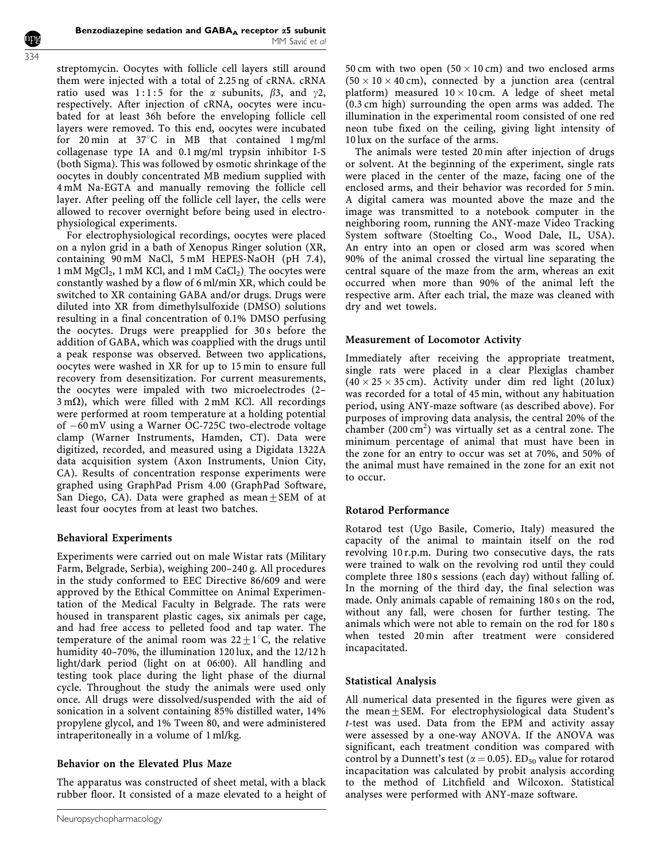streptomycin. Oocytes with follicle cell layers still around them were injected with a total of 2.25 ng of cRNA. cRNA ratio used was 1:1:5 for the  $\alpha$  subunits,  $\beta$ 3, and  $\gamma$ 2, respectively. After injection of cRNA, oocytes were incubated for at least 36h before the enveloping follicle cell layers were removed. To this end, oocytes were incubated for 20 min at  $37^{\circ}$ C in MB that contained 1 mg/ml collagenase type IA and 0.1 mg/ml trypsin inhibitor I-S (both Sigma). This was followed by osmotic shrinkage of the oocytes in doubly concentrated MB medium supplied with 4 mM Na-EGTA and manually removing the follicle cell layer. After peeling off the follicle cell layer, the cells were allowed to recover overnight before being used in electrophysiological experiments.

For electrophysiological recordings, oocytes were placed on a nylon grid in a bath of Xenopus Ringer solution (XR, containing 90 mM NaCl, 5 mM HEPES-NaOH (pH 7.4), 1 mM  $MgCl<sub>2</sub>$ , 1 mM KCl, and 1 mM CaCl<sub>2</sub>). The oocytes were constantly washed by a flow of 6 ml/min XR, which could be switched to XR containing GABA and/or drugs. Drugs were diluted into XR from dimethylsulfoxide (DMSO) solutions resulting in a final concentration of 0.1% DMSO perfusing the oocytes. Drugs were preapplied for 30 s before the addition of GABA, which was coapplied with the drugs until a peak response was observed. Between two applications, oocytes were washed in XR for up to 15 min to ensure full recovery from desensitization. For current measurements, the oocytes were impaled with two microelectrodes (2–  $3 \text{ m}\Omega$ ), which were filled with  $2 \text{ mM}$  KCl. All recordings were performed at room temperature at a holding potential of -60 mV using a Warner OC-725C two-electrode voltage clamp (Warner Instruments, Hamden, CT). Data were digitized, recorded, and measured using a Digidata 1322A data acquisition system (Axon Instruments, Union City, CA). Results of concentration response experiments were graphed using GraphPad Prism 4.00 (GraphPad Software, San Diego, CA). Data were graphed as  $mean \pm SEM$  of at least four oocytes from at least two batches.

## Behavioral Experiments

Experiments were carried out on male Wistar rats (Military Farm, Belgrade, Serbia), weighing 200–240 g. All procedures in the study conformed to EEC Directive 86/609 and were approved by the Ethical Committee on Animal Experimentation of the Medical Faculty in Belgrade. The rats were housed in transparent plastic cages, six animals per cage, and had free access to pelleted food and tap water. The temperature of the animal room was  $22+1$ °C, the relative humidity 40–70%, the illumination 120 lux, and the 12/12 h light/dark period (light on at 06:00). All handling and testing took place during the light phase of the diurnal cycle. Throughout the study the animals were used only once. All drugs were dissolved/suspended with the aid of sonication in a solvent containing 85% distilled water, 14% propylene glycol, and 1% Tween 80, and were administered intraperitoneally in a volume of 1 ml/kg.

# Behavior on the Elevated Plus Maze

The apparatus was constructed of sheet metal, with a black rubber floor. It consisted of a maze elevated to a height of 50 cm with two open  $(50 \times 10 \text{ cm})$  and two enclosed arms  $(50 \times 10 \times 40 \text{ cm})$ , connected by a junction area (central platform) measured  $10 \times 10$  cm. A ledge of sheet metal (0.3 cm high) surrounding the open arms was added. The illumination in the experimental room consisted of one red neon tube fixed on the ceiling, giving light intensity of 10 lux on the surface of the arms.

The animals were tested 20 min after injection of drugs or solvent. At the beginning of the experiment, single rats were placed in the center of the maze, facing one of the enclosed arms, and their behavior was recorded for 5 min. A digital camera was mounted above the maze and the image was transmitted to a notebook computer in the neighboring room, running the ANY-maze Video Tracking System software (Stoelting Co., Wood Dale, IL, USA). An entry into an open or closed arm was scored when 90% of the animal crossed the virtual line separating the central square of the maze from the arm, whereas an exit occurred when more than 90% of the animal left the respective arm. After each trial, the maze was cleaned with dry and wet towels.

## Measurement of Locomotor Activity

Immediately after receiving the appropriate treatment, single rats were placed in a clear Plexiglas chamber  $(40 \times 25 \times 35 \text{ cm})$ . Activity under dim red light (20 lux) was recorded for a total of 45 min, without any habituation period, using ANY-maze software (as described above). For purposes of improving data analysis, the central 20% of the chamber  $(200 \text{ cm}^2)$  was virtually set as a central zone. The minimum percentage of animal that must have been in the zone for an entry to occur was set at 70%, and 50% of the animal must have remained in the zone for an exit not to occur.

# Rotarod Performance

Rotarod test (Ugo Basile, Comerio, Italy) measured the capacity of the animal to maintain itself on the rod revolving 10 r.p.m. During two consecutive days, the rats were trained to walk on the revolving rod until they could complete three 180 s sessions (each day) without falling of. In the morning of the third day, the final selection was made. Only animals capable of remaining 180 s on the rod, without any fall, were chosen for further testing. The animals which were not able to remain on the rod for 180 s when tested 20 min after treatment were considered incapacitated.

## Statistical Analysis

All numerical data presented in the figures were given as the mean $\pm$ SEM. For electrophysiological data Student's t-test was used. Data from the EPM and activity assay were assessed by a one-way ANOVA. If the ANOVA was significant, each treatment condition was compared with control by a Dunnett's test ( $\alpha$  = 0.05). ED<sub>50</sub> value for rotarod incapacitation was calculated by probit analysis according to the method of Litchfield and Wilcoxon. Statistical analyses were performed with ANY-maze software.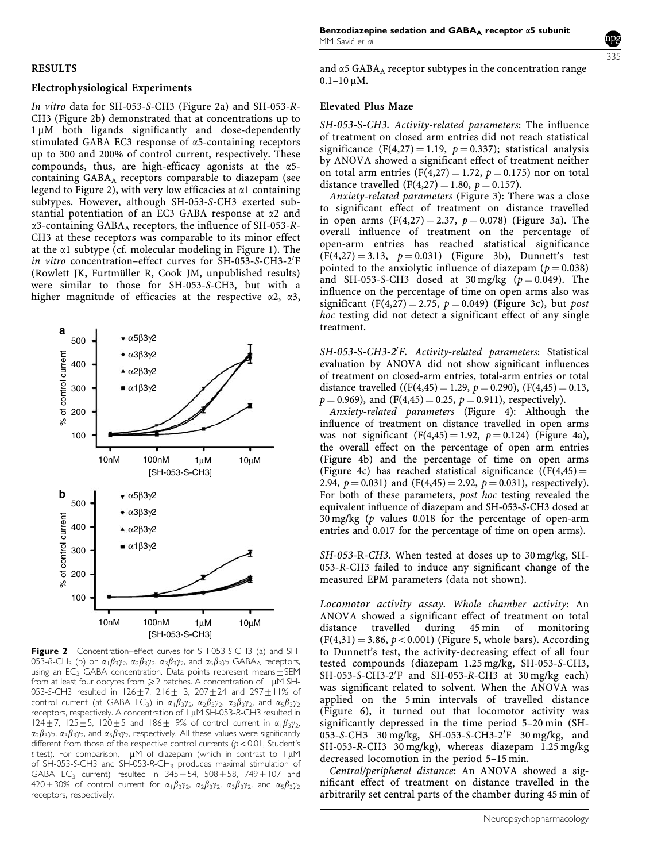## RESULTS

#### Electrophysiological Experiments

In vitro data for SH-053-S-CH3 (Figure 2a) and SH-053-R-CH3 (Figure 2b) demonstrated that at concentrations up to 1 µM both ligands significantly and dose-dependently stimulated GABA EC3 response of  $\alpha$ 5-containing receptors up to 300 and 200% of control current, respectively. These compounds, thus, are high-efficacy agonists at the  $\alpha$ 5containing GABA<sub>A</sub> receptors comparable to diazepam (see legend to Figure 2), with very low efficacies at  $\alpha$ 1 containing subtypes. However, although SH-053-S-CH3 exerted substantial potentiation of an EC3 GABA response at  $\alpha$ 2 and  $\alpha$ 3-containing GABA<sub>A</sub> receptors, the influence of SH-053-R-CH3 at these receptors was comparable to its minor effect at the  $\alpha$ 1 subtype (cf. molecular modeling in Figure 1). The in vitro concentration-effect curves for SH-053-S-CH3-2'F (Rowlett JK, Furtmüller R, Cook JM, unpublished results) were similar to those for SH-053-S-CH3, but with a higher magnitude of efficacies at the respective  $\alpha$ 2,  $\alpha$ 3,



Figure 2 Concentration–effect curves for SH-053-S-CH3 (a) and SH-053-R-CH<sub>3</sub> (b) on  $\alpha_1\beta_3\gamma_2$ ,  $\alpha_2\beta_3\gamma_2$ ,  $\alpha_3\beta_3\gamma_2$ , and  $\alpha_5\beta_3\gamma_2$  GABAA receptors, using an EC<sub>3</sub> GABA concentration. Data points represent means $\pm$ SEM from at least four oocytes from  $\geq 2$  batches. A concentration of 1 µM SH-053-S-CH3 resulted in  $126 + 7$ ,  $216 + 13$ ,  $207 + 24$  and  $297 + 11\%$  of control current (at GABA EC<sub>3</sub>) in  $\alpha_1\beta_3\gamma_2$ ,  $\alpha_2\beta_3\gamma_2$ ,  $\alpha_3\beta_3\gamma_2$ , and  $\alpha_5\beta_3\gamma_2$ receptors, respectively. A concentration of 1 µM SH-053-R-CH3 resulted in 124 + 7, 125 + 5, 120 + 5 and 186 + 19% of control current in  $\alpha_1\beta_3\gamma_2$ ,  $\alpha_2\beta_3\gamma_2$ ,  $\alpha_3\beta_3\gamma_2$ , and  $\alpha_5\beta_3\gamma_2$ , respectively. All these values were significantly different from those of the respective control currents ( $p < 0.01$ , Student's t-test). For comparison,  $\vert \mu M \vert$  of diazepam (which in contrast to  $\vert \mu M \vert$ of SH-053-S-CH3 and SH-053-R-CH3 produces maximal stimulation of GABA EC<sub>3</sub> current) resulted in  $345+54$ , 508 $\pm$ 58, 749 $\pm$ 107 and 420 $\pm$ 30% of control current for  $\alpha_1\beta_3\gamma_2$ ,  $\alpha_2\beta_3\gamma_2$ ,  $\alpha_3\beta_3\gamma_2$ , and  $\alpha_5\beta_3\gamma_2$ receptors, respectively.

and  $\alpha$ 5 GABA<sub>A</sub> receptor subtypes in the concentration range  $0.1 - 10$  uM.

#### Elevated Plus Maze

SH-053-S-CH3. Activity-related parameters: The influence of treatment on closed arm entries did not reach statistical significance (F(4,27) = 1.19,  $p = 0.337$ ); statistical analysis by ANOVA showed a significant effect of treatment neither on total arm entries (F(4,27) = 1.72,  $p = 0.175$ ) nor on total distance travelled (F(4,27) = 1.80,  $p = 0.157$ ).

Anxiety-related parameters (Figure 3): There was a close to significant effect of treatment on distance travelled in open arms  $(F(4,27) = 2.37, p = 0.078)$  (Figure 3a). The overall influence of treatment on the percentage of open-arm entries has reached statistical significance  $(F(4,27) = 3.13, p = 0.031)$  (Figure 3b), Dunnett's test pointed to the anxiolytic influence of diazepam ( $p = 0.038$ ) and SH-053-S-CH3 dosed at 30 mg/kg  $(p = 0.049)$ . The influence on the percentage of time on open arms also was significant (F(4,27) = 2.75,  $p = 0.049$ ) (Figure 3c), but post hoc testing did not detect a significant effect of any single treatment.

SH-053-S-CH3-2'F. Activity-related parameters: Statistical evaluation by ANOVA did not show significant influences of treatment on closed-arm entries, total-arm entries or total distance travelled  $((F(4,45) = 1.29, p = 0.290), (F(4,45) = 0.13,$  $p = 0.969$ , and (F(4,45) = 0.25,  $p = 0.911$ ), respectively).

Anxiety-related parameters (Figure 4): Although the influence of treatment on distance travelled in open arms was not significant  $(F(4,45) = 1.92, p = 0.124)$  (Figure 4a), the overall effect on the percentage of open arm entries (Figure 4b) and the percentage of time on open arms (Figure 4c) has reached statistical significance ( $(F(4,45) =$ 2.94,  $p = 0.031$ ) and (F(4,45) = 2.92,  $p = 0.031$ ), respectively). For both of these parameters, post hoc testing revealed the equivalent influence of diazepam and SH-053-S-CH3 dosed at 30 mg/kg (p values 0.018 for the percentage of open-arm entries and 0.017 for the percentage of time on open arms).

SH-053-R-CH3. When tested at doses up to 30 mg/kg, SH-053-R-CH3 failed to induce any significant change of the measured EPM parameters (data not shown).

Locomotor activity assay. Whole chamber activity: An ANOVA showed a significant effect of treatment on total distance travelled during 45 min of monitoring  $(F(4,31) = 3.86, p < 0.001)$  (Figure 5, whole bars). According to Dunnett's test, the activity-decreasing effect of all four tested compounds (diazepam 1.25 mg/kg, SH-053-S-CH3, SH-053-S-CH3-2'F and SH-053-R-CH3 at 30 mg/kg each) was significant related to solvent. When the ANOVA was applied on the 5 min intervals of travelled distance (Figure 6), it turned out that locomotor activity was significantly depressed in the time period 5–20 min (SH-053-S-CH3 30 mg/kg, SH-053-S-CH3-2'F 30 mg/kg, and SH-053-R-CH3 30 mg/kg), whereas diazepam 1.25 mg/kg decreased locomotion in the period 5–15 min.

Central/peripheral distance: An ANOVA showed a significant effect of treatment on distance travelled in the arbitrarily set central parts of the chamber during 45 min of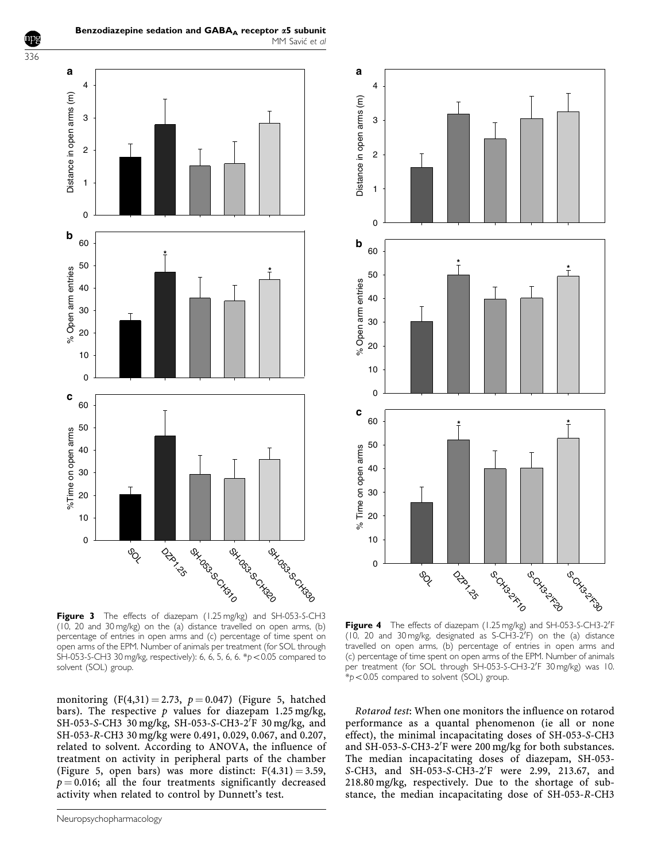

MM Savić et al

Benzodiazepine sedation and  $GABA_A$  receptor  $\alpha$ 5 subunit



Figure 3 The effects of diazepam (1.25 mg/kg) and SH-053-S-CH3 (10, 20 and 30 mg/kg) on the (a) distance travelled on open arms, (b) percentage of entries in open arms and (c) percentage of time spent on open arms of the EPM. Number of animals per treatment (for SOL through SH-053-S-CH3 30 mg/kg, respectively): 6, 6, 5, 6, 6.  $p$  < 0.05 compared to solvent (SOL) group.

monitoring  $(F(4,31) = 2.73, p = 0.047)$  (Figure 5, hatched bars). The respective p values for diazepam 1.25 mg/kg, SH-053-S-CH3 30 mg/kg, SH-053-S-CH3-2<sup>T</sup>F 30 mg/kg, and SH-053-R-CH3 30 mg/kg were 0.491, 0.029, 0.067, and 0.207, related to solvent. According to ANOVA, the influence of treatment on activity in peripheral parts of the chamber (Figure 5, open bars) was more distinct:  $F(4.31) = 3.59$ ,  $p = 0.016$ ; all the four treatments significantly decreased activity when related to control by Dunnett's test.

Figure 4 The effects of diazepam (1.25 mg/kg) and SH-053-S-CH3-2'F (10, 20 and 30 mg/kg, designated as S-CH3-2'F) on the (a) distance travelled on open arms, (b) percentage of entries in open arms and (c) percentage of time spent on open arms of the EPM. Number of animals per treatment (for SOL through SH-053-S-CH3-2'F 30 mg/kg) was 10.  $*p<0.05$  compared to solvent (SOL) group.

Rotarod test: When one monitors the influence on rotarod performance as a quantal phenomenon (ie all or none effect), the minimal incapacitating doses of SH-053-S-CH3 and SH-053-S-CH3-2'F were 200 mg/kg for both substances. The median incapacitating doses of diazepam, SH-053- S-CH3, and SH-053-S-CH3-2'F were 2.99, 213.67, and 218.80 mg/kg, respectively. Due to the shortage of substance, the median incapacitating dose of SH-053-R-CH3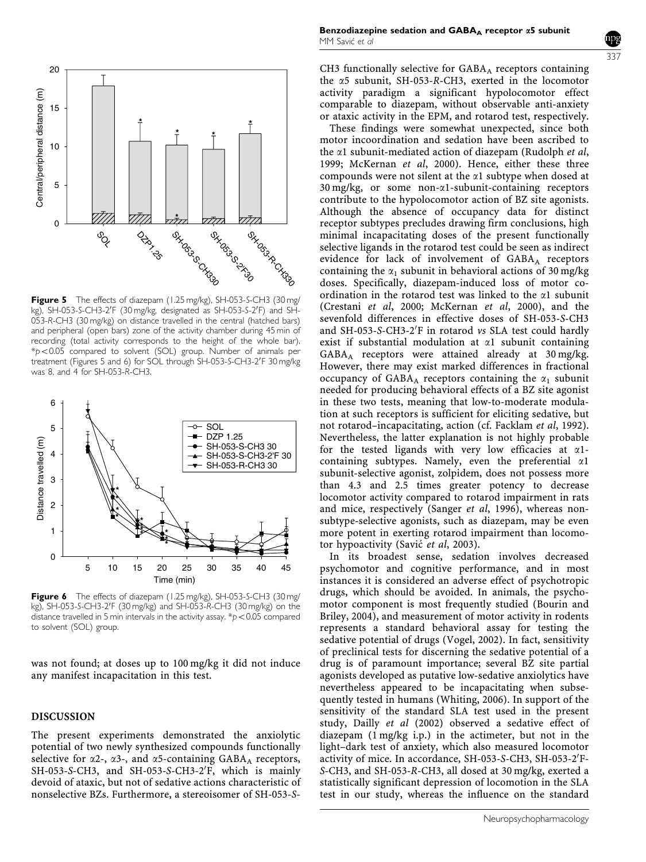

Figure 5 The effects of diazepam (1.25 mg/kg), SH-053-S-CH3 (30 mg/ kg), SH-053-S-CH3-2'F (30 mg/kg, designated as SH-053-S-2'F) and SH-053-R-CH3 (30 mg/kg) on distance travelled in the central (hatched bars) and peripheral (open bars) zone of the activity chamber during 45 min of recording (total activity corresponds to the height of the whole bar).  $*p$ <0.05 compared to solvent (SOL) group. Number of animals per treatment (Figures 5 and 6) for SOL through SH-053-S-CH3-2'F 30 mg/kg was 8, and 4 for SH-053-R-CH3.



Figure 6 The effects of diazepam (1.25 mg/kg), SH-053-S-CH3 (30 mg/ kg), SH-053-S-CH3-2'F (30 mg/kg) and SH-053-R-CH3 (30 mg/kg) on the distance travelled in 5 min intervals in the activity assay.  $\frac{p}{2}$  < 0.05 compared to solvent (SOL) group.

was not found; at doses up to 100 mg/kg it did not induce any manifest incapacitation in this test.

## DISCUSSION

The present experiments demonstrated the anxiolytic potential of two newly synthesized compounds functionally selective for  $\alpha$ 2-,  $\alpha$ 3-, and  $\alpha$ 5-containing GABA<sub>A</sub> receptors, SH-053-S-CH3, and SH-053-S-CH3-2'F, which is mainly devoid of ataxic, but not of sedative actions characteristic of nonselective BZs. Furthermore, a stereoisomer of SH-053-S-

CH3 functionally selective for  $GABA_A$  receptors containing the  $\alpha$ 5 subunit, SH-053-R-CH3, exerted in the locomotor activity paradigm a significant hypolocomotor effect comparable to diazepam, without observable anti-anxiety or ataxic activity in the EPM, and rotarod test, respectively.

These findings were somewhat unexpected, since both motor incoordination and sedation have been ascribed to the  $\alpha$ 1 subunit-mediated action of diazepam (Rudolph *et al*, 1999; McKernan et al, 2000). Hence, either these three compounds were not silent at the  $\alpha$ 1 subtype when dosed at  $30 \text{ mg/kg}$ , or some non- $\alpha$ 1-subunit-containing receptors contribute to the hypolocomotor action of BZ site agonists. Although the absence of occupancy data for distinct receptor subtypes precludes drawing firm conclusions, high minimal incapacitating doses of the present functionally selective ligands in the rotarod test could be seen as indirect evidence for lack of involvement of  $GABA_A$  receptors containing the  $\alpha_1$  subunit in behavioral actions of 30 mg/kg doses. Specifically, diazepam-induced loss of motor coordination in the rotarod test was linked to the  $\alpha$ 1 subunit (Crestani et al, 2000; McKernan et al, 2000), and the sevenfold differences in effective doses of SH-053-S-CH3 and SH-053-S-CH3-2'F in rotarod vs SLA test could hardly exist if substantial modulation at  $\alpha$ 1 subunit containing  $GABA_A$  receptors were attained already at 30 mg/kg. However, there may exist marked differences in fractional occupancy of GABA<sub>A</sub> receptors containing the  $\alpha_1$  subunit needed for producing behavioral effects of a BZ site agonist in these two tests, meaning that low-to-moderate modulation at such receptors is sufficient for eliciting sedative, but not rotarod–incapacitating, action (cf. Facklam et al, 1992). Nevertheless, the latter explanation is not highly probable for the tested ligands with very low efficacies at  $\alpha$ 1containing subtypes. Namely, even the preferential  $\alpha$ 1 subunit-selective agonist, zolpidem, does not possess more than 4.3 and 2.5 times greater potency to decrease locomotor activity compared to rotarod impairment in rats and mice, respectively (Sanger et al, 1996), whereas nonsubtype-selective agonists, such as diazepam, may be even more potent in exerting rotarod impairment than locomotor hypoactivity (Savić et al, 2003).

In its broadest sense, sedation involves decreased psychomotor and cognitive performance, and in most instances it is considered an adverse effect of psychotropic drugs, which should be avoided. In animals, the psychomotor component is most frequently studied (Bourin and Briley, 2004), and measurement of motor activity in rodents represents a standard behavioral assay for testing the sedative potential of drugs (Vogel, 2002). In fact, sensitivity of preclinical tests for discerning the sedative potential of a drug is of paramount importance; several BZ site partial agonists developed as putative low-sedative anxiolytics have nevertheless appeared to be incapacitating when subsequently tested in humans (Whiting, 2006). In support of the sensitivity of the standard SLA test used in the present study, Dailly et al (2002) observed a sedative effect of diazepam (1 mg/kg i.p.) in the actimeter, but not in the light–dark test of anxiety, which also measured locomotor activity of mice. In accordance, SH-053-S-CH3, SH-053-2'F-S-CH3, and SH-053-R-CH3, all dosed at 30 mg/kg, exerted a statistically significant depression of locomotion in the SLA test in our study, whereas the influence on the standard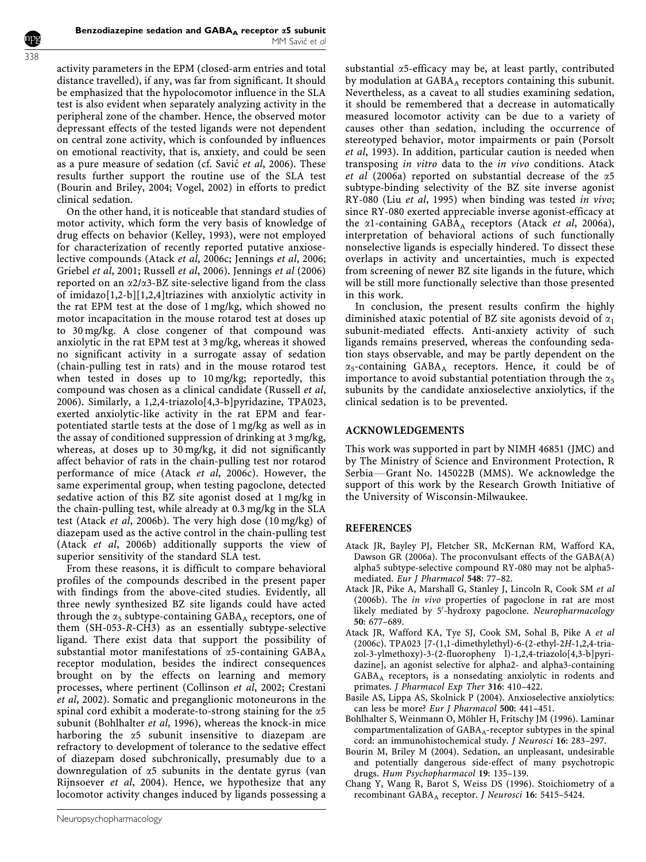activity parameters in the EPM (closed-arm entries and total distance travelled), if any, was far from significant. It should be emphasized that the hypolocomotor influence in the SLA test is also evident when separately analyzing activity in the peripheral zone of the chamber. Hence, the observed motor depressant effects of the tested ligands were not dependent on central zone activity, which is confounded by influences on emotional reactivity, that is, anxiety, and could be seen as a pure measure of sedation (cf. Savić et al, 2006). These results further support the routine use of the SLA test (Bourin and Briley, 2004; Vogel, 2002) in efforts to predict clinical sedation.

On the other hand, it is noticeable that standard studies of motor activity, which form the very basis of knowledge of drug effects on behavior (Kelley, 1993), were not employed for characterization of recently reported putative anxioselective compounds (Atack et al, 2006c; Jennings et al, 2006; Griebel et al, 2001; Russell et al, 2006). Jennings et al (2006) reported on an  $\alpha$ 2/ $\alpha$ 3-BZ site-selective ligand from the class of imidazo[1,2-b][1,2,4]triazines with anxiolytic activity in the rat EPM test at the dose of 1 mg/kg, which showed no motor incapacitation in the mouse rotarod test at doses up to 30 mg/kg. A close congener of that compound was anxiolytic in the rat EPM test at 3 mg/kg, whereas it showed no significant activity in a surrogate assay of sedation (chain-pulling test in rats) and in the mouse rotarod test when tested in doses up to 10 mg/kg; reportedly, this compound was chosen as a clinical candidate (Russell et al, 2006). Similarly, a 1,2,4-triazolo[4,3-b]pyridazine, TPA023, exerted anxiolytic-like activity in the rat EPM and fearpotentiated startle tests at the dose of 1 mg/kg as well as in the assay of conditioned suppression of drinking at 3 mg/kg, whereas, at doses up to 30 mg/kg, it did not significantly affect behavior of rats in the chain-pulling test nor rotarod performance of mice (Atack et al, 2006c). However, the same experimental group, when testing pagoclone, detected sedative action of this BZ site agonist dosed at 1 mg/kg in the chain-pulling test, while already at 0.3 mg/kg in the SLA test (Atack et al, 2006b). The very high dose (10 mg/kg) of diazepam used as the active control in the chain-pulling test (Atack et al, 2006b) additionally supports the view of superior sensitivity of the standard SLA test.

From these reasons, it is difficult to compare behavioral profiles of the compounds described in the present paper with findings from the above-cited studies. Evidently, all three newly synthesized BZ site ligands could have acted through the  $\alpha_5$  subtype-containing GABA<sub>A</sub> receptors, one of them (SH-053-R-CH3) as an essentially subtype-selective ligand. There exist data that support the possibility of substantial motor manifestations of  $\alpha$ 5-containing GABA<sub>A</sub> receptor modulation, besides the indirect consequences brought on by the effects on learning and memory processes, where pertinent (Collinson et al, 2002; Crestani et al, 2002). Somatic and preganglionic motoneurons in the spinal cord exhibit a moderate-to-strong staining for the  $\alpha$ 5 subunit (Bohlhalter et al, 1996), whereas the knock-in mice harboring the  $\alpha$ 5 subunit insensitive to diazepam are refractory to development of tolerance to the sedative effect of diazepam dosed subchronically, presumably due to a downregulation of  $\alpha$ 5 subunits in the dentate gyrus (van Rijnsoever et al, 2004). Hence, we hypothesize that any locomotor activity changes induced by ligands possessing a

Neuropsychopharmacology

substantial  $\alpha$ 5-efficacy may be, at least partly, contributed by modulation at GABA<sub>A</sub> receptors containing this subunit. Nevertheless, as a caveat to all studies examining sedation, it should be remembered that a decrease in automatically measured locomotor activity can be due to a variety of causes other than sedation, including the occurrence of stereotyped behavior, motor impairments or pain (Porsolt et al, 1993). In addition, particular caution is needed when transposing in vitro data to the in vivo conditions. Atack et al (2006a) reported on substantial decrease of the  $\alpha$ 5 subtype-binding selectivity of the BZ site inverse agonist RY-080 (Liu et al, 1995) when binding was tested in vivo; since RY-080 exerted appreciable inverse agonist-efficacy at the  $\alpha$ 1-containing GABA<sub>A</sub> receptors (Atack et al, 2006a), interpretation of behavioral actions of such functionally nonselective ligands is especially hindered. To dissect these overlaps in activity and uncertainties, much is expected from screening of newer BZ site ligands in the future, which will be still more functionally selective than those presented in this work.

In conclusion, the present results confirm the highly diminished ataxic potential of BZ site agonists devoid of  $\alpha_1$ subunit-mediated effects. Anti-anxiety activity of such ligands remains preserved, whereas the confounding sedation stays observable, and may be partly dependent on the  $\alpha_5$ -containing GABA<sub>A</sub> receptors. Hence, it could be of importance to avoid substantial potentiation through the  $\alpha_5$ subunits by the candidate anxioselective anxiolytics, if the clinical sedation is to be prevented.

## ACKNOWLEDGEMENTS

This work was supported in part by NIMH 46851 (JMC) and by The Ministry of Science and Environment Protection, R Serbia-Grant No. 145022B (MMS). We acknowledge the support of this work by the Research Growth Initiative of the University of Wisconsin-Milwaukee.

#### REFERENCES

- Atack JR, Bayley PJ, Fletcher SR, McKernan RM, Wafford KA, Dawson GR (2006a). The proconvulsant effects of the GABA(A) alpha5 subtype-selective compound RY-080 may not be alpha5 mediated. Eur J Pharmacol 548: 77–82.
- Atack JR, Pike A, Marshall G, Stanley J, Lincoln R, Cook SM et al (2006b). The in vivo properties of pagoclone in rat are most likely mediated by 5'-hydroxy pagoclone. Neuropharmacology 50: 677–689.
- Atack JR, Wafford KA, Tye SJ, Cook SM, Sohal B, Pike A et al (2006c). TPA023 [7-(1,1-dimethylethyl)-6-(2-ethyl-2H-1,2,4-triazol-3-ylmethoxy)-3-(2-fluoropheny l)-1,2,4-triazolo[4,3-b]pyridazine], an agonist selective for alpha2- and alpha3-containing GABAA receptors, is a nonsedating anxiolytic in rodents and primates. J Pharmacol Exp Ther 316: 410–422.
- Basile AS, Lippa AS, Skolnick P (2004). Anxioselective anxiolytics: can less be more? Eur J Pharmacol 500: 441–451.
- Bohlhalter S, Weinmann O, Möhler H, Fritschy JM (1996). Laminar compartmentalization of  $GABA_A$ -receptor subtypes in the spinal cord: an immunohistochemical study. J Neurosci 16: 283–297.
- Bourin M, Briley M (2004). Sedation, an unpleasant, undesirable and potentially dangerous side-effect of many psychotropic drugs. Hum Psychopharmacol 19: 135–139.
- Chang Y, Wang R, Barot S, Weiss DS (1996). Stoichiometry of a recombinant GABA<sub>A</sub> receptor. J Neurosci 16: 5415-5424.